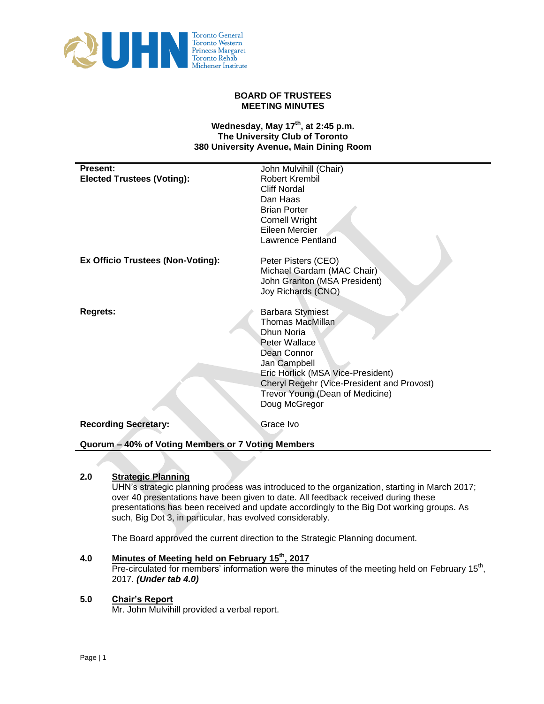

## **BOARD OF TRUSTEES MEETING MINUTES**

## **Wednesday, May 17th , at 2:45 p.m. The University Club of Toronto 380 University Avenue, Main Dining Room**

| <b>Present:</b>                          | John Mulvihill (Chair)                     |
|------------------------------------------|--------------------------------------------|
| <b>Elected Trustees (Voting):</b>        | Robert Krembil                             |
|                                          | <b>Cliff Nordal</b>                        |
|                                          | Dan Haas                                   |
|                                          | <b>Brian Porter</b>                        |
|                                          | <b>Cornell Wright</b>                      |
|                                          | Eileen Mercier                             |
|                                          | Lawrence Pentland                          |
|                                          |                                            |
| <b>Ex Officio Trustees (Non-Voting):</b> | Peter Pisters (CEO)                        |
|                                          | Michael Gardam (MAC Chair)                 |
|                                          | John Granton (MSA President)               |
|                                          | Joy Richards (CNO)                         |
|                                          |                                            |
| <b>Regrets:</b>                          | <b>Barbara Stymiest</b>                    |
|                                          | <b>Thomas MacMillan</b>                    |
|                                          | Dhun Noria                                 |
|                                          | Peter Wallace                              |
|                                          | Dean Connor                                |
|                                          | Jan Campbell                               |
|                                          | Eric Horlick (MSA Vice-President)          |
|                                          | Cheryl Regehr (Vice-President and Provost) |
|                                          | Trevor Young (Dean of Medicine)            |
|                                          |                                            |
|                                          | Doug McGregor                              |
| <b>Recording Secretary:</b>              | Grace Ivo                                  |
|                                          |                                            |
|                                          |                                            |

**Quorum – 40% of Voting Members or 7 Voting Members** 

# **2.0 Strategic Planning**

UHN's strategic planning process was introduced to the organization, starting in March 2017; over 40 presentations have been given to date. All feedback received during these presentations has been received and update accordingly to the Big Dot working groups. As such, Big Dot 3, in particular, has evolved considerably.

The Board approved the current direction to the Strategic Planning document.

# **4.0 Minutes of Meeting held on February 15th, 2017**

Pre-circulated for members' information were the minutes of the meeting held on February 15<sup>th</sup>, 2017. *(Under tab 4.0)* 

#### **5.0 Chair's Report**

Mr. John Mulvihill provided a verbal report.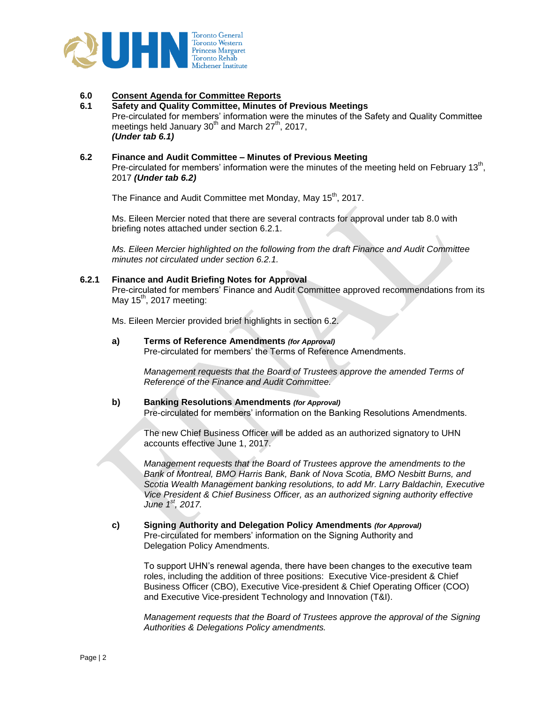

## **6.0 Consent Agenda for Committee Reports**

#### **6.1 Safety and Quality Committee, Minutes of Previous Meetings** Pre-circulated for members' information were the minutes of the Safety and Quality Committee meetings held January  $30<sup>th</sup>$  and March 27<sup>th</sup>, 2017, *(Under tab 6.1)*

## **6.2 Finance and Audit Committee – Minutes of Previous Meeting**

Pre-circulated for members' information were the minutes of the meeting held on February 13<sup>th</sup>, 2017 *(Under tab 6.2)*

The Finance and Audit Committee met Monday, May 15<sup>th</sup>, 2017.

Ms. Eileen Mercier noted that there are several contracts for approval under tab 8.0 with briefing notes attached under section 6.2.1.

*Ms. Eileen Mercier highlighted on the following from the draft Finance and Audit Committee minutes not circulated under section 6.2.1.*

#### **6.2.1 Finance and Audit Briefing Notes for Approval**

Pre-circulated for members' Finance and Audit Committee approved recommendations from its May 15<sup>th</sup>, 2017 meeting:

Ms. Eileen Mercier provided brief highlights in section 6.2.

**a) Terms of Reference Amendments** *(for Approval)* Pre-circulated for members' the Terms of Reference Amendments.

> *Management requests that the Board of Trustees approve the amended Terms of Reference of the Finance and Audit Committee.*

#### **b) Banking Resolutions Amendments** *(for Approval)*

Pre-circulated for members' information on the Banking Resolutions Amendments.

The new Chief Business Officer will be added as an authorized signatory to UHN accounts effective June 1, 2017.

*Management requests that the Board of Trustees approve the amendments to the Bank of Montreal, BMO Harris Bank, Bank of Nova Scotia, BMO Nesbitt Burns, and Scotia Wealth Management banking resolutions, to add Mr. Larry Baldachin, Executive Vice President & Chief Business Officer, as an authorized signing authority effective June 1st, 2017.* 

# **c) Signing Authority and Delegation Policy Amendments** *(for Approval)*

Pre-circulated for members' information on the Signing Authority and Delegation Policy Amendments.

To support UHN's renewal agenda, there have been changes to the executive team roles, including the addition of three positions: Executive Vice-president & Chief Business Officer (CBO), Executive Vice-president & Chief Operating Officer (COO) and Executive Vice-president Technology and Innovation (T&I).

*Management requests that the Board of Trustees approve the approval of the Signing Authorities & Delegations Policy amendments.*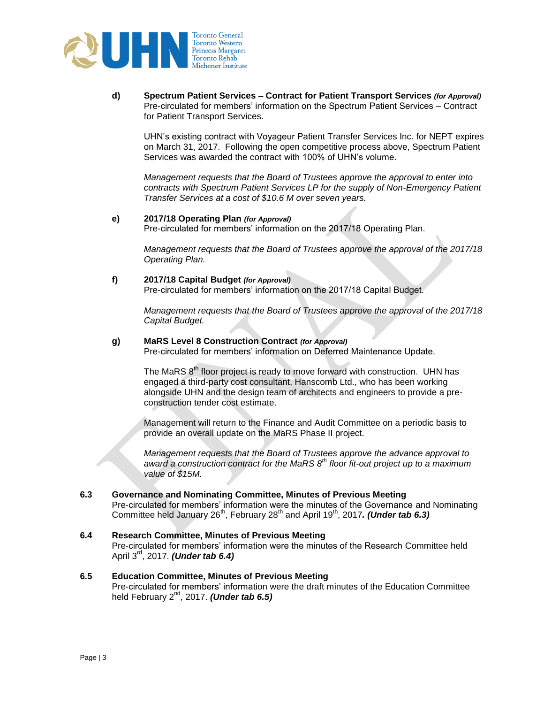

**d) Spectrum Patient Services – Contract for Patient Transport Services** *(for Approval)* Pre-circulated for members' information on the Spectrum Patient Services – Contract for Patient Transport Services.

UHN's existing contract with Voyageur Patient Transfer Services Inc. for NEPT expires on March 31, 2017. Following the open competitive process above, Spectrum Patient Services was awarded the contract with 100% of UHN's volume.

*Management requests that the Board of Trustees approve the approval to enter into contracts with Spectrum Patient Services LP for the supply of Non-Emergency Patient Transfer Services at a cost of \$10.6 M over seven years.* 

#### **e) 2017/18 Operating Plan** *(for Approval)*

Pre-circulated for members' information on the 2017/18 Operating Plan.

*Management requests that the Board of Trustees approve the approval of the 2017/18 Operating Plan.* 

**f) 2017/18 Capital Budget** *(for Approval)*

Pre-circulated for members' information on the 2017/18 Capital Budget.

*Management requests that the Board of Trustees approve the approval of the 2017/18 Capital Budget.*

#### **g) MaRS Level 8 Construction Contract** *(for Approval)*

Pre-circulated for members' information on Deferred Maintenance Update.

The MaRS  $8<sup>th</sup>$  floor project is ready to move forward with construction. UHN has engaged a third-party cost consultant, Hanscomb Ltd., who has been working alongside UHN and the design team of architects and engineers to provide a preconstruction tender cost estimate.

Management will return to the Finance and Audit Committee on a periodic basis to provide an overall update on the MaRS Phase II project.

*Management requests that the Board of Trustees approve the advance approval to award a construction contract for the MaRS 8th floor fit-out project up to a maximum value of \$15M.*

#### **6.3 Governance and Nominating Committee, Minutes of Previous Meeting**

Pre-circulated for members' information were the minutes of the Governance and Nominating Committee held January 26<sup>th</sup>, February 28<sup>th</sup> and April 19<sup>th</sup>, 2017. (Under tab 6.3)

**6.4 Research Committee, Minutes of Previous Meeting** Pre-circulated for members' information were the minutes of the Research Committee held April 3rd, 2017. *(Under tab 6.4)*

## **6.5 Education Committee, Minutes of Previous Meeting**

Pre-circulated for members' information were the draft minutes of the Education Committee held February 2nd, 2017. *(Under tab 6.5)*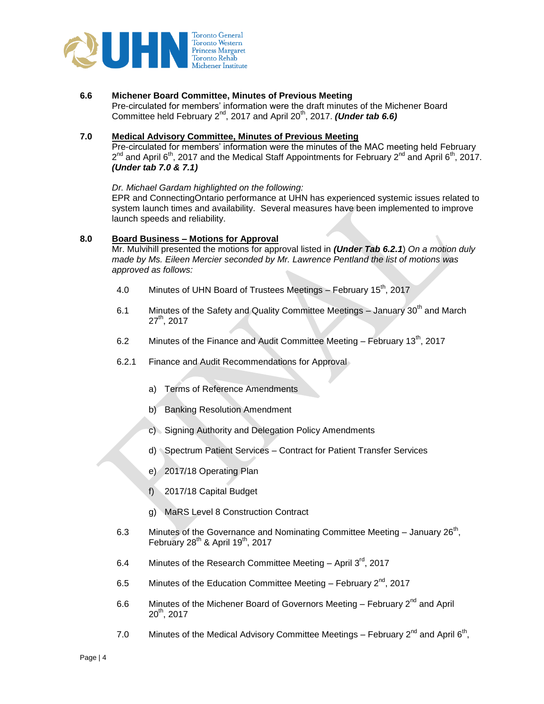

## **6.6 Michener Board Committee, Minutes of Previous Meeting**

Pre-circulated for members' information were the draft minutes of the Michener Board Committee held February 2<sup>nd</sup>, 2017 and April 20<sup>th</sup>, 2017. *(Under tab 6.6)* 

## **7.0 Medical Advisory Committee, Minutes of Previous Meeting**

Pre-circulated for members' information were the minutes of the MAC meeting held February  $2^{nd}$  and April 6<sup>th</sup>, 2017 and the Medical Staff Appointments for February 2<sup>nd</sup> and April 6<sup>th</sup>, 2017. *(Under tab 7.0 & 7.1)*

## *Dr. Michael Gardam highlighted on the following:*

EPR and ConnectingOntario performance at UHN has experienced systemic issues related to system launch times and availability. Several measures have been implemented to improve launch speeds and reliability.

#### **8.0 Board Business – Motions for Approval**

Mr. Mulvihill presented the motions for approval listed in *(Under Tab 6.2.1*) *On a motion duly made by Ms. Eileen Mercier seconded by Mr. Lawrence Pentland the list of motions was approved as follows:*

- 4.0 Minutes of UHN Board of Trustees Meetings February 15<sup>th</sup>, 2017
- 6.1 Minutes of the Safety and Quality Committee Meetings January  $30<sup>th</sup>$  and March  $27<sup>th</sup>$ , 2017
- 6.2 Minutes of the Finance and Audit Committee Meeting February  $13<sup>th</sup>$ , 2017
- 6.2.1 Finance and Audit Recommendations for Approval
	- a) Terms of Reference Amendments
	- b) Banking Resolution Amendment
	- c) Signing Authority and Delegation Policy Amendments
	- d) Spectrum Patient Services Contract for Patient Transfer Services
	- e) 2017/18 Operating Plan
	- f) 2017/18 Capital Budget
	- g) MaRS Level 8 Construction Contract
- 6.3 Minutes of the Governance and Nominating Committee Meeting January  $26<sup>th</sup>$ , February  $28<sup>th</sup>$  & April 19<sup>th</sup>, 2017
- 6.4 Minutes of the Research Committee Meeting April  $3<sup>rd</sup>$ , 2017
- 6.5 Minutes of the Education Committee Meeting February  $2^{nd}$ , 2017
- 6.6 Minutes of the Michener Board of Governors Meeting February  $2<sup>nd</sup>$  and April  $20<sup>th</sup>$ , 2017
- 7.0 Minutes of the Medical Advisory Committee Meetings February  $2^{nd}$  and April 6<sup>th</sup>,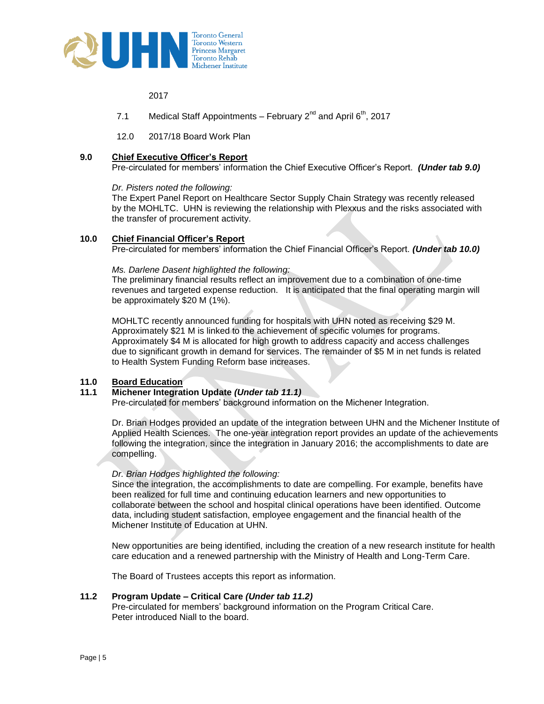

2017

- 7.1 Medical Staff Appointments – February  $2^{nd}$  and April  $6^{th}$ , 2017
- 12.0 2017/18 Board Work Plan

#### **9.0 Chief Executive Officer's Report**

Pre-circulated for members' information the Chief Executive Officer's Report. *(Under tab 9.0)*

#### *Dr. Pisters noted the following:*

The Expert Panel Report on Healthcare Sector Supply Chain Strategy was recently released by the MOHLTC. UHN is reviewing the relationship with Plexxus and the risks associated with the transfer of procurement activity.

#### **10.0 Chief Financial Officer's Report**

Pre-circulated for members' information the Chief Financial Officer's Report. *(Under tab 10.0)*

#### *Ms. Darlene Dasent highlighted the following:*

The preliminary financial results reflect an improvement due to a combination of one-time revenues and targeted expense reduction. It is anticipated that the final operating margin will be approximately \$20 M (1%).

MOHLTC recently announced funding for hospitals with UHN noted as receiving \$29 M. Approximately \$21 M is linked to the achievement of specific volumes for programs. Approximately \$4 M is allocated for high growth to address capacity and access challenges due to significant growth in demand for services. The remainder of \$5 M in net funds is related to Health System Funding Reform base increases.

#### **11.0 Board Education**

# **11.1 Michener Integration Update** *(Under tab 11.1)*

Pre-circulated for members' background information on the Michener Integration.

Dr. Brian Hodges provided an update of the integration between UHN and the Michener Institute of Applied Health Sciences. The one-year integration report provides an update of the achievements following the integration, since the integration in January 2016; the accomplishments to date are compelling.

## *Dr. Brian Hodges highlighted the following:*

Since the integration, the accomplishments to date are compelling. For example, benefits have been realized for full time and continuing education learners and new opportunities to collaborate between the school and hospital clinical operations have been identified. Outcome data, including student satisfaction, employee engagement and the financial health of the Michener Institute of Education at UHN.

New opportunities are being identified, including the creation of a new research institute for health care education and a renewed partnership with the Ministry of Health and Long-Term Care.

The Board of Trustees accepts this report as information.

## **11.2 Program Update – Critical Care** *(Under tab 11.2)*

Pre-circulated for members' background information on the Program Critical Care. Peter introduced Niall to the board.